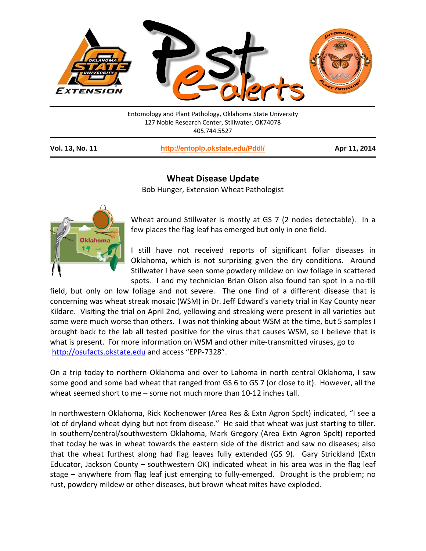

Entomology and Plant Pathology, Oklahoma State University 127 Noble Research Center, Stillwater, OK74078 405.744.5527

**Vol. 13, No. 11 <http://entoplp.okstate.edu/Pddl/> Apr 11, 2014**

## **Wheat Disease Update**

Bob Hunger, Extension Wheat Pathologist



Wheat around Stillwater is mostly at GS 7 (2 nodes detectable). In a few places the flag leaf has emerged but only in one field.

I still have not received reports of significant foliar diseases in Oklahoma, which is not surprising given the dry conditions. Around Stillwater I have seen some powdery mildew on low foliage in scattered spots. I and my technician Brian Olson also found tan spot in a no-till

field, but only on low foliage and not severe. The one find of a different disease that is concerning was wheat streak mosaic (WSM) in Dr. Jeff Edward's variety trial in Kay County near Kildare. Visiting the trial on April 2nd, yellowing and streaking were present in all varieties but some were much worse than others. I was not thinking about WSM at the time, but 5 samples I brought back to the lab all tested positive for the virus that causes WSM, so I believe that is what is present. For more information on WSM and other mite-transmitted viruses, go to [http://osufacts.okstate.edu](http://osufacts.okstate.edu/) and access "EPP-7328".

On a trip today to northern Oklahoma and over to Lahoma in north central Oklahoma, I saw some good and some bad wheat that ranged from GS 6 to GS 7 (or close to it). However, all the wheat seemed short to me – some not much more than 10-12 inches tall.

In northwestern Oklahoma, Rick Kochenower (Area Res & Extn Agron Spclt) indicated, "I see a lot of dryland wheat dying but not from disease." He said that wheat was just starting to tiller. In southern/central/southwestern Oklahoma, Mark Gregory (Area Extn Agron Spclt) reported that today he was in wheat towards the eastern side of the district and saw no diseases; also that the wheat furthest along had flag leaves fully extended (GS 9). Gary Strickland (Extn Educator, Jackson County – southwestern OK) indicated wheat in his area was in the flag leaf stage – anywhere from flag leaf just emerging to fully-emerged. Drought is the problem; no rust, powdery mildew or other diseases, but brown wheat mites have exploded.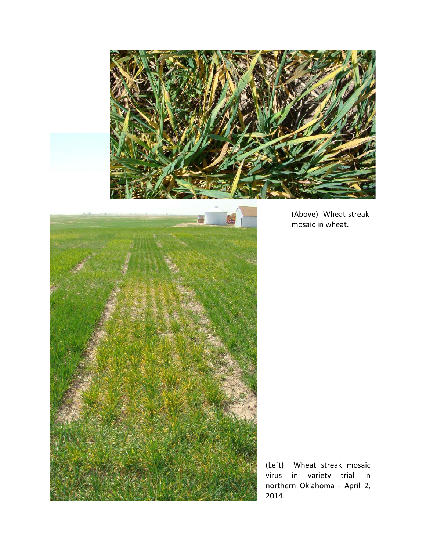



(Above) Wheat streak mosaic in wheat.

(Left) Wheat streak mosaic virus in variety trial in northern Oklahoma - April 2, 2014.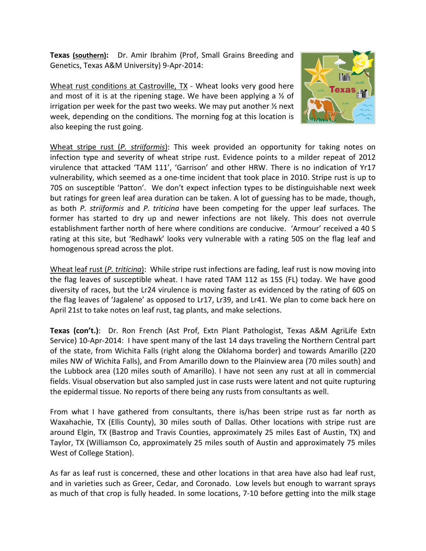**Texas (southern):** Dr. Amir Ibrahim (Prof, Small Grains Breeding and Genetics, Texas A&M University) 9-Apr-2014:

Wheat rust conditions at Castroville, TX - Wheat looks very good here and most of it is at the ripening stage. We have been applying a  $\frac{1}{2}$  of irrigation per week for the past two weeks. We may put another  $\frac{1}{2}$  next week, depending on the conditions. The morning fog at this location is also keeping the rust going.



Wheat stripe rust (*P. striiformis*): This week provided an opportunity for taking notes on infection type and severity of wheat stripe rust. Evidence points to a milder repeat of 2012 virulence that attacked 'TAM 111', 'Garrison' and other HRW. There is no indication of Yr17 vulnerability, which seemed as a one-time incident that took place in 2010. Stripe rust is up to 70S on susceptible 'Patton'. We don't expect infection types to be distinguishable next week but ratings for green leaf area duration can be taken. A lot of guessing has to be made, though, as both *P. striiformis* and *P. triticina* have been competing for the upper leaf surfaces. The former has started to dry up and newer infections are not likely. This does not overrule establishment farther north of here where conditions are conducive. 'Armour' received a 40 S rating at this site, but 'Redhawk' looks very vulnerable with a rating 50S on the flag leaf and homogenous spread across the plot.

Wheat leaf rust (*P. triticina*): While stripe rust infections are fading, leaf rust is now moving into the flag leaves of susceptible wheat. I have rated TAM 112 as 15S (FL) today. We have good diversity of races, but the Lr24 virulence is moving faster as evidenced by the rating of 60S on the flag leaves of 'Jagalene' as opposed to Lr17, Lr39, and Lr41. We plan to come back here on April 21st to take notes on leaf rust, tag plants, and make selections.

**Texas (con't.)**: Dr. Ron French (Ast Prof, Extn Plant Pathologist, Texas A&M AgriLife Extn Service) 10-Apr-2014: I have spent many of the last 14 days traveling the Northern Central part of the state, from Wichita Falls (right along the Oklahoma border) and towards Amarillo (220 miles NW of Wichita Falls), and From Amarillo down to the Plainview area (70 miles south) and the Lubbock area (120 miles south of Amarillo). I have not seen any rust at all in commercial fields. Visual observation but also sampled just in case rusts were latent and not quite rupturing the epidermal tissue. No reports of there being any rusts from consultants as well.

From what I have gathered from consultants, there is/has been stripe rust as far north as Waxahachie, TX (Ellis County), 30 miles south of Dallas. Other locations with stripe rust are around Elgin, TX (Bastrop and Travis Counties, approximately 25 miles East of Austin, TX) and Taylor, TX (Williamson Co, approximately 25 miles south of Austin and approximately 75 miles West of College Station).

As far as leaf rust is concerned, these and other locations in that area have also had leaf rust, and in varieties such as Greer, Cedar, and Coronado. Low levels but enough to warrant sprays as much of that crop is fully headed. In some locations, 7-10 before getting into the milk stage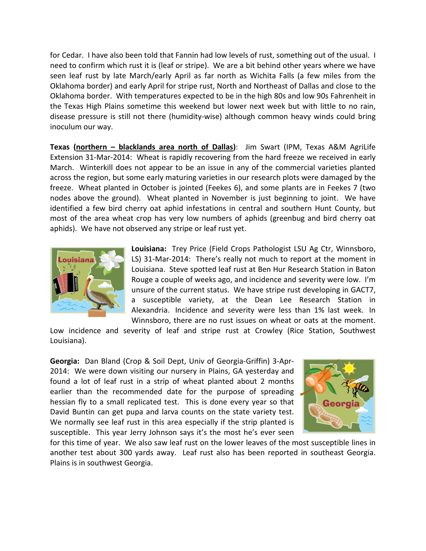for Cedar. I have also been told that Fannin had low levels of rust, something out of the usual. I need to confirm which rust it is (leaf or stripe). We are a bit behind other years where we have seen leaf rust by late March/early April as far north as Wichita Falls (a few miles from the Oklahoma border) and early April for stripe rust, North and Northeast of Dallas and close to the Oklahoma border. With temperatures expected to be in the high 80s and low 90s Fahrenheit in the Texas High Plains sometime this weekend but lower next week but with little to no rain, disease pressure is still not there (humidity-wise) although common heavy winds could bring inoculum our way.

**Texas (northern – blacklands area north of Dallas)**: Jim Swart (IPM, Texas A&M AgriLife Extension 31-Mar-2014: Wheat is rapidly recovering from the hard freeze we received in early March. Winterkill does not appear to be an issue in any of the commercial varieties planted across the region, but some early maturing varieties in our research plots were damaged by the freeze. Wheat planted in October is jointed (Feekes 6), and some plants are in Feekes 7 (two nodes above the ground). Wheat planted in November is just beginning to joint. We have identified a few bird cherry oat aphid infestations in central and southern Hunt County, but most of the area wheat crop has very low numbers of aphids (greenbug and bird cherry oat aphids). We have not observed any stripe or leaf rust yet.



**Louisiana:** Trey Price (Field Crops Pathologist LSU Ag Ctr, Winnsboro, LS) 31-Mar-2014: There's really not much to report at the moment in Louisiana. Steve spotted leaf rust at Ben Hur Research Station in Baton Rouge a couple of weeks ago, and incidence and severity were low. I'm unsure of the current status. We have stripe rust developing in GACT7, a susceptible variety, at the Dean Lee Research Station in Alexandria. Incidence and severity were less than 1% last week. In Winnsboro, there are no rust issues on wheat or oats at the moment.

Low incidence and severity of leaf and stripe rust at Crowley (Rice Station, Southwest Louisiana).

**Georgia:** Dan Bland (Crop & Soil Dept, Univ of Georgia-Griffin) 3-Apr-2014: We were down visiting our nursery in Plains, GA yesterday and found a lot of leaf rust in a strip of wheat planted about 2 months earlier than the recommended date for the purpose of spreading hessian fly to a small replicated test. This is done every year so that David Buntin can get pupa and larva counts on the state variety test. We normally see leaf rust in this area especially if the strip planted is susceptible. This year Jerry Johnson says it's the most he's ever seen



for this time of year. We also saw leaf rust on the lower leaves of the most susceptible lines in another test about 300 yards away. Leaf rust also has been reported in southeast Georgia. Plains is in southwest Georgia.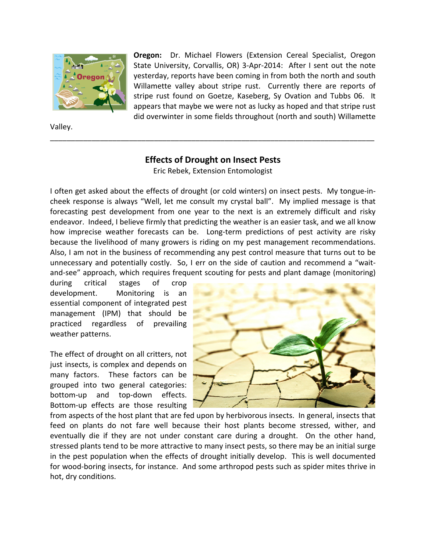

Valley.

**Oregon:** Dr. Michael Flowers (Extension Cereal Specialist, Oregon State University, Corvallis, OR) 3-Apr-2014: After I sent out the note yesterday, reports have been coming in from both the north and south Willamette valley about stripe rust. Currently there are reports of stripe rust found on Goetze, Kaseberg, Sy Ovation and Tubbs 06. It appears that maybe we were not as lucky as hoped and that stripe rust did overwinter in some fields throughout (north and south) Willamette

## **Effects of Drought on Insect Pests**

\_\_\_\_\_\_\_\_\_\_\_\_\_\_\_\_\_\_\_\_\_\_\_\_\_\_\_\_\_\_\_\_\_\_\_\_\_\_\_\_\_\_\_\_\_\_\_\_\_\_\_\_\_\_\_\_\_\_\_\_\_\_\_\_\_\_\_\_\_\_\_\_\_\_\_\_\_\_

Eric Rebek, Extension Entomologist

I often get asked about the effects of drought (or cold winters) on insect pests. My tongue-incheek response is always "Well, let me consult my crystal ball". My implied message is that forecasting pest development from one year to the next is an extremely difficult and risky endeavor. Indeed, I believe firmly that predicting the weather is an easier task, and we all know how imprecise weather forecasts can be. Long-term predictions of pest activity are risky because the livelihood of many growers is riding on my pest management recommendations. Also, I am not in the business of recommending any pest control measure that turns out to be unnecessary and potentially costly. So, I err on the side of caution and recommend a "waitand-see" approach, which requires frequent scouting for pests and plant damage (monitoring)

during critical stages of crop development. Monitoring is an essential component of integrated pest management (IPM) that should be practiced regardless of prevailing weather patterns.

The effect of drought on all critters, not just insects, is complex and depends on many factors. These factors can be grouped into two general categories: bottom-up and top-down effects. Bottom-up effects are those resulting



from aspects of the host plant that are fed upon by herbivorous insects. In general, insects that feed on plants do not fare well because their host plants become stressed, wither, and eventually die if they are not under constant care during a drought. On the other hand, stressed plants tend to be more attractive to many insect pests, so there may be an initial surge in the pest population when the effects of drought initially develop. This is well documented for wood-boring insects, for instance. And some arthropod pests such as spider mites thrive in hot, dry conditions.